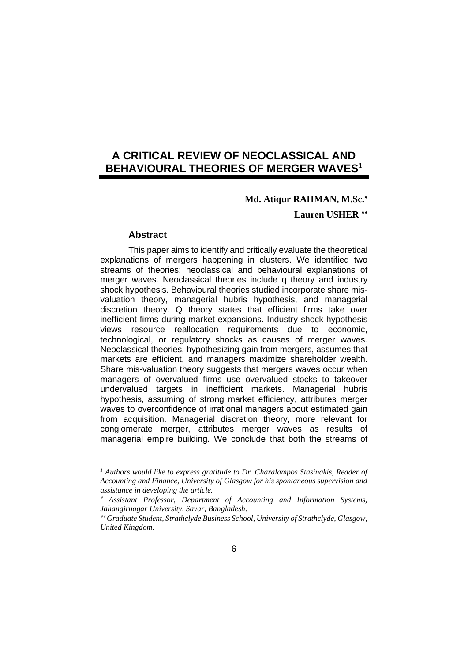# **A CRITICAL REVIEW OF NEOCLASSICAL AND BEHAVIOURAL THEORIES OF MERGER WAVES<sup>1</sup>**

# **Md. Atiqur RAHMAN, M.Sc.**

**Lauren USHER**

#### **Abstract**

This paper aims to identify and critically evaluate the theoretical explanations of mergers happening in clusters. We identified two streams of theories: neoclassical and behavioural explanations of merger waves. Neoclassical theories include q theory and industry shock hypothesis. Behavioural theories studied incorporate share misvaluation theory, managerial hubris hypothesis, and managerial discretion theory. Q theory states that efficient firms take over inefficient firms during market expansions. Industry shock hypothesis views resource reallocation requirements due to economic, technological, or regulatory shocks as causes of merger waves. Neoclassical theories, hypothesizing gain from mergers, assumes that markets are efficient, and managers maximize shareholder wealth. Share mis-valuation theory suggests that mergers waves occur when managers of overvalued firms use overvalued stocks to takeover undervalued targets in inefficient markets. Managerial hubris hypothesis, assuming of strong market efficiency, attributes merger waves to overconfidence of irrational managers about estimated gain from acquisition. Managerial discretion theory, more relevant for conglomerate merger, attributes merger waves as results of managerial empire building. We conclude that both the streams of

*<sup>1</sup> Authors would like to express gratitude to Dr. Charalampos Stasinakis, Reader of Accounting and Finance, University of Glasgow for his spontaneous supervision and assistance in developing the article.*

<sup>\*</sup>  *Assistant Professor, Department of Accounting and Information Systems, Jahangirnagar University, Savar, Bangladesh.*

*Graduate Student, Strathclyde Business School, University of Strathclyde, Glasgow, United Kingdom.*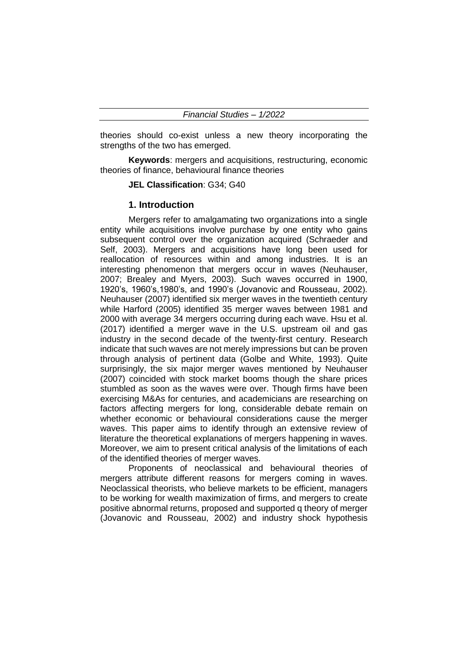theories should co-exist unless a new theory incorporating the strengths of the two has emerged.

**Keywords**: mergers and acquisitions, restructuring, economic theories of finance, behavioural finance theories

**JEL Classification**: G34; G40

#### **1. Introduction**

Mergers refer to amalgamating two organizations into a single entity while acquisitions involve purchase by one entity who gains subsequent control over the organization acquired (Schraeder and Self, 2003). Mergers and acquisitions have long been used for reallocation of resources within and among industries. It is an interesting phenomenon that mergers occur in waves (Neuhauser, 2007; Brealey and Myers, 2003). Such waves occurred in 1900, 1920's, 1960's,1980's, and 1990's (Jovanovic and Rousseau, 2002). Neuhauser (2007) identified six merger waves in the twentieth century while Harford (2005) identified 35 merger waves between 1981 and 2000 with average 34 mergers occurring during each wave. Hsu et al. (2017) identified a merger wave in the U.S. upstream oil and gas industry in the second decade of the twenty-first century. Research indicate that such waves are not merely impressions but can be proven through analysis of pertinent data (Golbe and White, 1993). Quite surprisingly, the six major merger waves mentioned by Neuhauser (2007) coincided with stock market booms though the share prices stumbled as soon as the waves were over. Though firms have been exercising M&As for centuries, and academicians are researching on factors affecting mergers for long, considerable debate remain on whether economic or behavioural considerations cause the merger waves. This paper aims to identify through an extensive review of literature the theoretical explanations of mergers happening in waves. Moreover, we aim to present critical analysis of the limitations of each of the identified theories of merger waves.

Proponents of neoclassical and behavioural theories of mergers attribute different reasons for mergers coming in waves. Neoclassical theorists, who believe markets to be efficient, managers to be working for wealth maximization of firms, and mergers to create positive abnormal returns, proposed and supported q theory of merger (Jovanovic and Rousseau, 2002) and industry shock hypothesis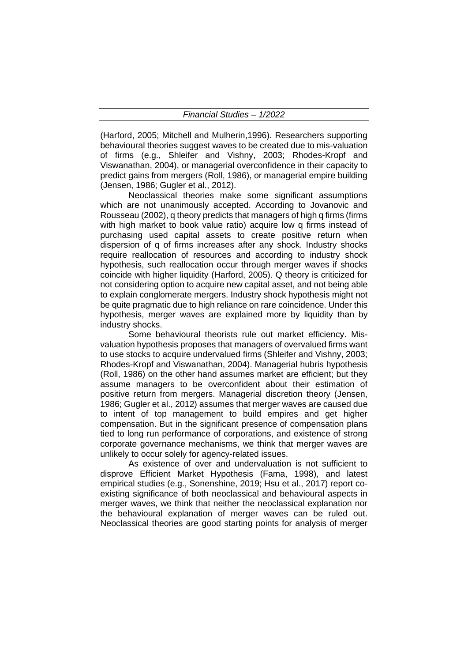(Harford, 2005; Mitchell and Mulherin,1996). Researchers supporting behavioural theories suggest waves to be created due to mis-valuation of firms (e.g., Shleifer and Vishny, 2003; Rhodes-Kropf and Viswanathan, 2004), or managerial overconfidence in their capacity to predict gains from mergers (Roll, 1986), or managerial empire building (Jensen, 1986; Gugler et al., 2012).

Neoclassical theories make some significant assumptions which are not unanimously accepted. According to Jovanovic and Rousseau (2002), q theory predicts that managers of high q firms (firms with high market to book value ratio) acquire low q firms instead of purchasing used capital assets to create positive return when dispersion of q of firms increases after any shock. Industry shocks require reallocation of resources and according to industry shock hypothesis, such reallocation occur through merger waves if shocks coincide with higher liquidity (Harford, 2005). Q theory is criticized for not considering option to acquire new capital asset, and not being able to explain conglomerate mergers. Industry shock hypothesis might not be quite pragmatic due to high reliance on rare coincidence. Under this hypothesis, merger waves are explained more by liquidity than by industry shocks.

Some behavioural theorists rule out market efficiency. Misvaluation hypothesis proposes that managers of overvalued firms want to use stocks to acquire undervalued firms (Shleifer and Vishny, 2003; Rhodes-Kropf and Viswanathan, 2004). Managerial hubris hypothesis (Roll, 1986) on the other hand assumes market are efficient; but they assume managers to be overconfident about their estimation of positive return from mergers. Managerial discretion theory (Jensen, 1986; Gugler et al., 2012) assumes that merger waves are caused due to intent of top management to build empires and get higher compensation. But in the significant presence of compensation plans tied to long run performance of corporations, and existence of strong corporate governance mechanisms, we think that merger waves are unlikely to occur solely for agency-related issues.

As existence of over and undervaluation is not sufficient to disprove Efficient Market Hypothesis (Fama, 1998), and latest empirical studies (e.g., Sonenshine, 2019; Hsu et al., 2017) report coexisting significance of both neoclassical and behavioural aspects in merger waves, we think that neither the neoclassical explanation nor the behavioural explanation of merger waves can be ruled out. Neoclassical theories are good starting points for analysis of merger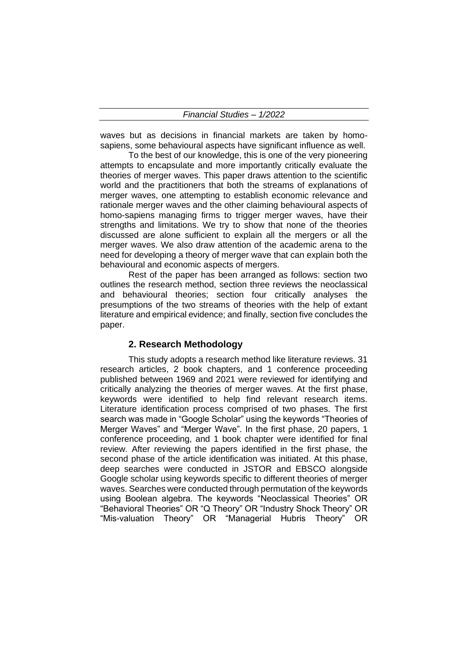waves but as decisions in financial markets are taken by homosapiens, some behavioural aspects have significant influence as well.

To the best of our knowledge, this is one of the very pioneering attempts to encapsulate and more importantly critically evaluate the theories of merger waves. This paper draws attention to the scientific world and the practitioners that both the streams of explanations of merger waves, one attempting to establish economic relevance and rationale merger waves and the other claiming behavioural aspects of homo-sapiens managing firms to trigger merger waves, have their strengths and limitations. We try to show that none of the theories discussed are alone sufficient to explain all the mergers or all the merger waves. We also draw attention of the academic arena to the need for developing a theory of merger wave that can explain both the behavioural and economic aspects of mergers.

Rest of the paper has been arranged as follows: section two outlines the research method, section three reviews the neoclassical and behavioural theories; section four critically analyses the presumptions of the two streams of theories with the help of extant literature and empirical evidence; and finally, section five concludes the paper.

## **2. Research Methodology**

This study adopts a research method like literature reviews. 31 research articles, 2 book chapters, and 1 conference proceeding published between 1969 and 2021 were reviewed for identifying and critically analyzing the theories of merger waves. At the first phase, keywords were identified to help find relevant research items. Literature identification process comprised of two phases. The first search was made in "Google Scholar" using the keywords "Theories of Merger Waves" and "Merger Wave". In the first phase, 20 papers, 1 conference proceeding, and 1 book chapter were identified for final review. After reviewing the papers identified in the first phase, the second phase of the article identification was initiated. At this phase, deep searches were conducted in JSTOR and EBSCO alongside Google scholar using keywords specific to different theories of merger waves. Searches were conducted through permutation of the keywords using Boolean algebra. The keywords "Neoclassical Theories" OR "Behavioral Theories" OR "Q Theory" OR "Industry Shock Theory" OR "Mis-valuation Theory" OR "Managerial Hubris Theory" OR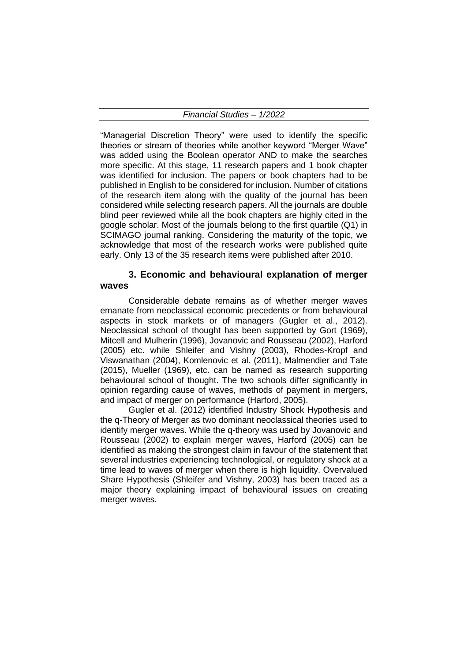"Managerial Discretion Theory" were used to identify the specific theories or stream of theories while another keyword "Merger Wave" was added using the Boolean operator AND to make the searches more specific. At this stage, 11 research papers and 1 book chapter was identified for inclusion. The papers or book chapters had to be published in English to be considered for inclusion. Number of citations of the research item along with the quality of the journal has been considered while selecting research papers. All the journals are double blind peer reviewed while all the book chapters are highly cited in the google scholar. Most of the journals belong to the first quartile (Q1) in SCIMAGO journal ranking. Considering the maturity of the topic, we acknowledge that most of the research works were published quite early. Only 13 of the 35 research items were published after 2010.

# **3. Economic and behavioural explanation of merger waves**

Considerable debate remains as of whether merger waves emanate from neoclassical economic precedents or from behavioural aspects in stock markets or of managers (Gugler et al., 2012). Neoclassical school of thought has been supported by Gort (1969), Mitcell and Mulherin (1996), Jovanovic and Rousseau (2002), Harford (2005) etc. while Shleifer and Vishny (2003), Rhodes-Kropf and Viswanathan (2004), Komlenovic et al. (2011), Malmendier and Tate (2015), Mueller (1969), etc. can be named as research supporting behavioural school of thought. The two schools differ significantly in opinion regarding cause of waves, methods of payment in mergers, and impact of merger on performance (Harford, 2005).

Gugler et al. (2012) identified Industry Shock Hypothesis and the q-Theory of Merger as two dominant neoclassical theories used to identify merger waves. While the q-theory was used by Jovanovic and Rousseau (2002) to explain merger waves, Harford (2005) can be identified as making the strongest claim in favour of the statement that several industries experiencing technological, or regulatory shock at a time lead to waves of merger when there is high liquidity. Overvalued Share Hypothesis (Shleifer and Vishny, 2003) has been traced as a major theory explaining impact of behavioural issues on creating merger waves.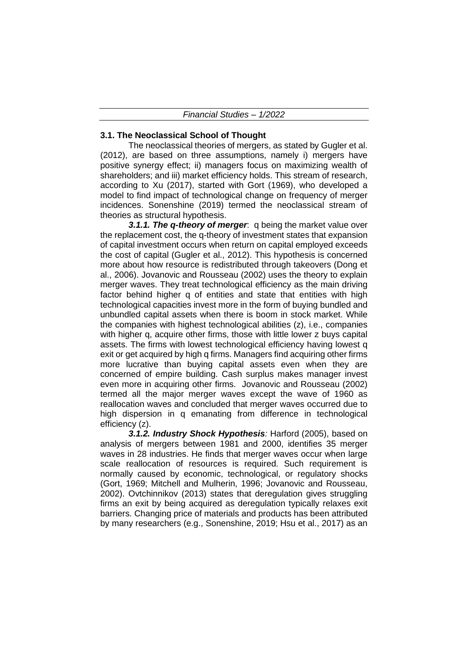#### **3.1. The Neoclassical School of Thought**

The neoclassical theories of mergers, as stated by Gugler et al. (2012), are based on three assumptions, namely i) mergers have positive synergy effect; ii) managers focus on maximizing wealth of shareholders; and iii) market efficiency holds. This stream of research, according to Xu (2017), started with Gort (1969), who developed a model to find impact of technological change on frequency of merger incidences. Sonenshine (2019) termed the neoclassical stream of theories as structural hypothesis.

*3.1.1. The q-theory of merger*:q being the market value over the replacement cost, the q-theory of investment states that expansion of capital investment occurs when return on capital employed exceeds the cost of capital (Gugler et al., 2012). This hypothesis is concerned more about how resource is redistributed through takeovers (Dong et al., 2006). Jovanovic and Rousseau (2002) uses the theory to explain merger waves. They treat technological efficiency as the main driving factor behind higher q of entities and state that entities with high technological capacities invest more in the form of buying bundled and unbundled capital assets when there is boom in stock market. While the companies with highest technological abilities (z), i.e., companies with higher q, acquire other firms, those with little lower z buys capital assets. The firms with lowest technological efficiency having lowest q exit or get acquired by high q firms. Managers find acquiring other firms more lucrative than buying capital assets even when they are concerned of empire building. Cash surplus makes manager invest even more in acquiring other firms. Jovanovic and Rousseau (2002) termed all the major merger waves except the wave of 1960 as reallocation waves and concluded that merger waves occurred due to high dispersion in q emanating from difference in technological efficiency (z).

*3.1.2. Industry Shock Hypothesis:* Harford (2005), based on analysis of mergers between 1981 and 2000, identifies 35 merger waves in 28 industries. He finds that merger waves occur when large scale reallocation of resources is required. Such requirement is normally caused by economic, technological, or regulatory shocks (Gort, 1969; Mitchell and Mulherin, 1996; Jovanovic and Rousseau, 2002). Ovtchinnikov (2013) states that deregulation gives struggling firms an exit by being acquired as deregulation typically relaxes exit barriers. Changing price of materials and products has been attributed by many researchers (e.g., Sonenshine, 2019; Hsu et al., 2017) as an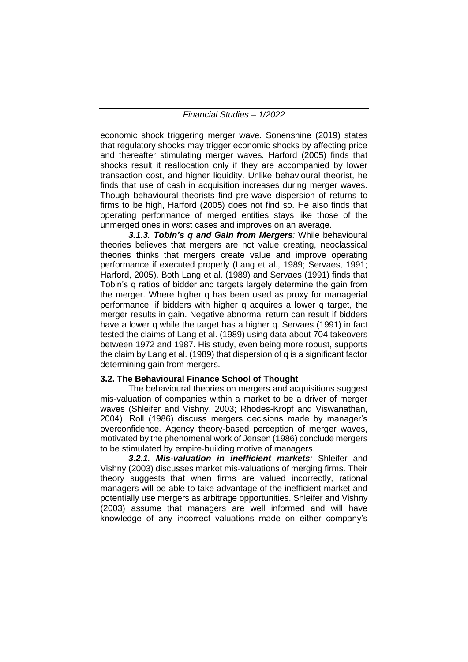economic shock triggering merger wave. Sonenshine (2019) states that regulatory shocks may trigger economic shocks by affecting price and thereafter stimulating merger waves. Harford (2005) finds that shocks result it reallocation only if they are accompanied by lower transaction cost, and higher liquidity. Unlike behavioural theorist, he finds that use of cash in acquisition increases during merger waves. Though behavioural theorists find pre-wave dispersion of returns to firms to be high, Harford (2005) does not find so. He also finds that operating performance of merged entities stays like those of the unmerged ones in worst cases and improves on an average.

*3.1.3. Tobin's q and Gain from Mergers:* While behavioural theories believes that mergers are not value creating, neoclassical theories thinks that mergers create value and improve operating performance if executed properly (Lang et al., 1989; Servaes, 1991; Harford, 2005). Both Lang et al. (1989) and Servaes (1991) finds that Tobin's q ratios of bidder and targets largely determine the gain from the merger. Where higher q has been used as proxy for managerial performance, if bidders with higher q acquires a lower q target, the merger results in gain. Negative abnormal return can result if bidders have a lower q while the target has a higher q. Servaes (1991) in fact tested the claims of Lang et al. (1989) using data about 704 takeovers between 1972 and 1987. His study, even being more robust, supports the claim by Lang et al. (1989) that dispersion of q is a significant factor determining gain from mergers.

#### **3.2. The Behavioural Finance School of Thought**

The behavioural theories on mergers and acquisitions suggest mis-valuation of companies within a market to be a driver of merger waves (Shleifer and Vishny, 2003; Rhodes-Kropf and Viswanathan, 2004). Roll (1986) discuss mergers decisions made by manager's overconfidence. Agency theory-based perception of merger waves, motivated by the phenomenal work of Jensen (1986) conclude mergers to be stimulated by empire-building motive of managers.

*3.2.1. Mis-valuation in inefficient markets:* Shleifer and Vishny (2003) discusses market mis-valuations of merging firms. Their theory suggests that when firms are valued incorrectly, rational managers will be able to take advantage of the inefficient market and potentially use mergers as arbitrage opportunities. Shleifer and Vishny (2003) assume that managers are well informed and will have knowledge of any incorrect valuations made on either company's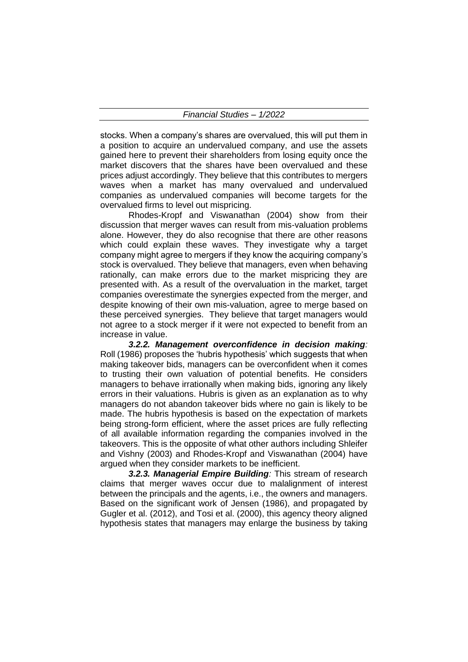stocks. When a company's shares are overvalued, this will put them in a position to acquire an undervalued company, and use the assets gained here to prevent their shareholders from losing equity once the market discovers that the shares have been overvalued and these prices adjust accordingly. They believe that this contributes to mergers waves when a market has many overvalued and undervalued companies as undervalued companies will become targets for the overvalued firms to level out mispricing.

Rhodes-Kropf and Viswanathan (2004) show from their discussion that merger waves can result from mis-valuation problems alone. However, they do also recognise that there are other reasons which could explain these waves. They investigate why a target company might agree to mergers if they know the acquiring company's stock is overvalued. They believe that managers, even when behaving rationally, can make errors due to the market mispricing they are presented with. As a result of the overvaluation in the market, target companies overestimate the synergies expected from the merger, and despite knowing of their own mis-valuation, agree to merge based on these perceived synergies. They believe that target managers would not agree to a stock merger if it were not expected to benefit from an increase in value.

*3.2.2. Management overconfidence in decision making:* Roll (1986) proposes the 'hubris hypothesis' which suggests that when making takeover bids, managers can be overconfident when it comes to trusting their own valuation of potential benefits. He considers managers to behave irrationally when making bids, ignoring any likely errors in their valuations. Hubris is given as an explanation as to why managers do not abandon takeover bids where no gain is likely to be made. The hubris hypothesis is based on the expectation of markets being strong-form efficient, where the asset prices are fully reflecting of all available information regarding the companies involved in the takeovers. This is the opposite of what other authors including Shleifer and Vishny (2003) and Rhodes-Kropf and Viswanathan (2004) have argued when they consider markets to be inefficient.

*3.2.3. Managerial Empire Building:* This stream of research claims that merger waves occur due to malalignment of interest between the principals and the agents, i.e., the owners and managers. Based on the significant work of Jensen (1986), and propagated by Gugler et al. (2012), and Tosi et al. (2000), this agency theory aligned hypothesis states that managers may enlarge the business by taking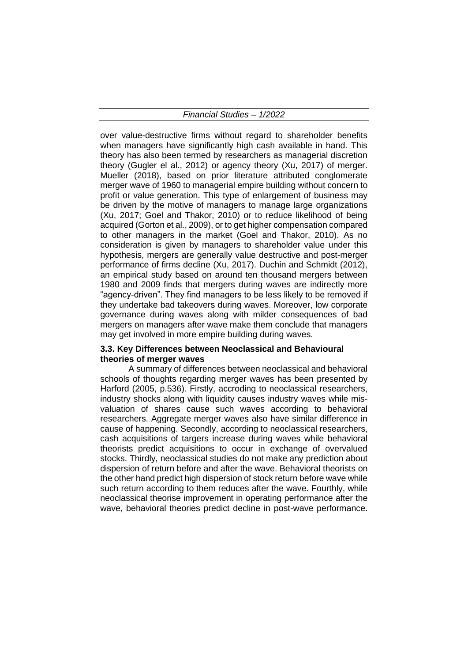over value-destructive firms without regard to shareholder benefits when managers have significantly high cash available in hand. This theory has also been termed by researchers as managerial discretion theory (Gugler el al., 2012) or agency theory (Xu, 2017) of merger. Mueller (2018), based on prior literature attributed conglomerate merger wave of 1960 to managerial empire building without concern to profit or value generation. This type of enlargement of business may be driven by the motive of managers to manage large organizations (Xu, 2017; Goel and Thakor, 2010) or to reduce likelihood of being acquired (Gorton et al., 2009), or to get higher compensation compared to other managers in the market (Goel and Thakor, 2010). As no consideration is given by managers to shareholder value under this hypothesis, mergers are generally value destructive and post-merger performance of firms decline (Xu, 2017). Duchin and Schmidt (2012), an empirical study based on around ten thousand mergers between 1980 and 2009 finds that mergers during waves are indirectly more "agency-driven". They find managers to be less likely to be removed if they undertake bad takeovers during waves. Moreover, low corporate governance during waves along with milder consequences of bad mergers on managers after wave make them conclude that managers may get involved in more empire building during waves.

#### **3.3. Key Differences between Neoclassical and Behavioural theories of merger waves**

A summary of differences between neoclassical and behavioral schools of thoughts regarding merger waves has been presented by Harford (2005, p.536). Firstly, accroding to neoclassical researchers, industry shocks along with liquidity causes industry waves while misvaluation of shares cause such waves according to behavioral researchers. Aggregate merger waves also have similar difference in cause of happening. Secondly, according to neoclassical researchers, cash acquisitions of targers increase during waves while behavioral theorists predict acquisitions to occur in exchange of overvalued stocks. Thirdly, neoclassical studies do not make any prediction about dispersion of return before and after the wave. Behavioral theorists on the other hand predict high dispersion of stock return before wave while such return according to them reduces after the wave. Fourthly, while neoclassical theorise improvement in operating performance after the wave, behavioral theories predict decline in post-wave performance.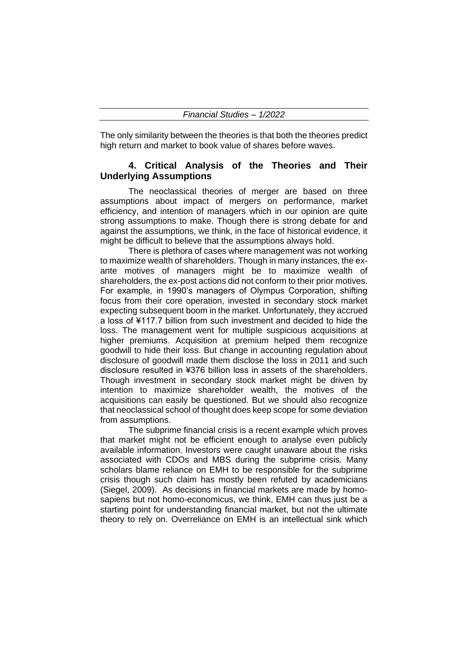The only similarity between the theories is that both the theories predict high return and market to book value of shares before waves.

## **4. Critical Analysis of the Theories and Their Underlying Assumptions**

The neoclassical theories of merger are based on three assumptions about impact of mergers on performance, market efficiency, and intention of managers which in our opinion are quite strong assumptions to make. Though there is strong debate for and against the assumptions, we think, in the face of historical evidence, it might be difficult to believe that the assumptions always hold.

There is plethora of cases where management was not working to maximize wealth of shareholders. Though in many instances, the exante motives of managers might be to maximize wealth of shareholders, the ex-post actions did not conform to their prior motives. For example, in 1990's managers of Olympus Corporation, shifting focus from their core operation, invested in secondary stock market expecting subsequent boom in the market. Unfortunately, they accrued a loss of ¥117.7 billion from such investment and decided to hide the loss. The management went for multiple suspicious acquisitions at higher premiums. Acquisition at premium helped them recognize goodwill to hide their loss. But change in accounting regulation about disclosure of goodwill made them disclose the loss in 2011 and such disclosure resulted in ¥376 billion loss in assets of the shareholders. Though investment in secondary stock market might be driven by intention to maximize shareholder wealth, the motives of the acquisitions can easily be questioned. But we should also recognize that neoclassical school of thought does keep scope for some deviation from assumptions.

The subprime financial crisis is a recent example which proves that market might not be efficient enough to analyse even publicly available information. Investors were caught unaware about the risks associated with CDOs and MBS during the subprime crisis. Many scholars blame reliance on EMH to be responsible for the subprime crisis though such claim has mostly been refuted by academicians (Siegel, 2009). As decisions in financial markets are made by homosapiens but not homo-economicus, we think, EMH can thus just be a starting point for understanding financial market, but not the ultimate theory to rely on. Overreliance on EMH is an intellectual sink which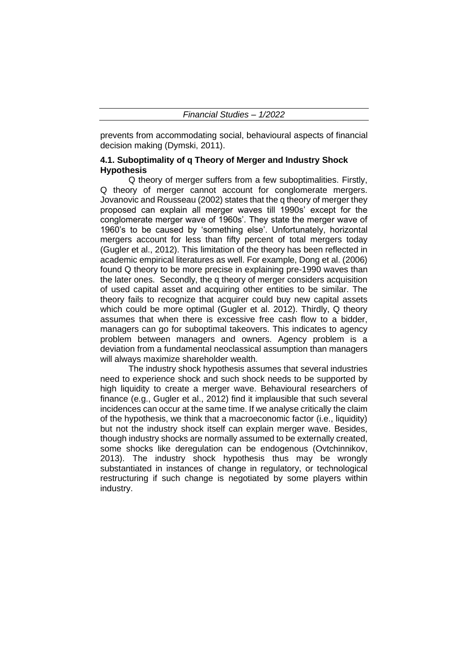prevents from accommodating social, behavioural aspects of financial decision making (Dymski, 2011).

# **4.1. Suboptimality of q Theory of Merger and Industry Shock Hypothesis**

Q theory of merger suffers from a few suboptimalities. Firstly, Q theory of merger cannot account for conglomerate mergers. Jovanovic and Rousseau (2002) states that the q theory of merger they proposed can explain all merger waves till 1990s' except for the conglomerate merger wave of 1960s'. They state the merger wave of 1960's to be caused by 'something else'. Unfortunately, horizontal mergers account for less than fifty percent of total mergers today (Gugler et al., 2012). This limitation of the theory has been reflected in academic empirical literatures as well. For example, Dong et al. (2006) found Q theory to be more precise in explaining pre-1990 waves than the later ones. Secondly, the q theory of merger considers acquisition of used capital asset and acquiring other entities to be similar. The theory fails to recognize that acquirer could buy new capital assets which could be more optimal (Gugler et al. 2012). Thirdly, Q theory assumes that when there is excessive free cash flow to a bidder, managers can go for suboptimal takeovers. This indicates to agency problem between managers and owners. Agency problem is a deviation from a fundamental neoclassical assumption than managers will always maximize shareholder wealth.

The industry shock hypothesis assumes that several industries need to experience shock and such shock needs to be supported by high liquidity to create a merger wave. Behavioural researchers of finance (e.g., Gugler et al., 2012) find it implausible that such several incidences can occur at the same time. If we analyse critically the claim of the hypothesis, we think that a macroeconomic factor (i.e., liquidity) but not the industry shock itself can explain merger wave. Besides, though industry shocks are normally assumed to be externally created, some shocks like deregulation can be endogenous (Ovtchinnikov, 2013). The industry shock hypothesis thus may be wrongly substantiated in instances of change in regulatory, or technological restructuring if such change is negotiated by some players within industry.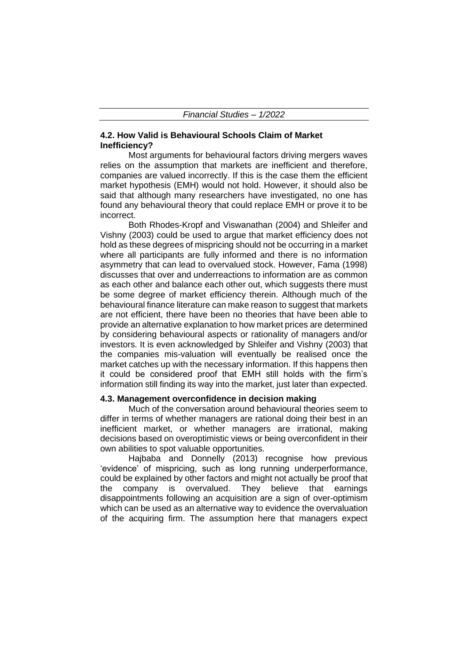## **4.2. How Valid is Behavioural Schools Claim of Market Inefficiency?**

Most arguments for behavioural factors driving mergers waves relies on the assumption that markets are inefficient and therefore, companies are valued incorrectly. If this is the case them the efficient market hypothesis (EMH) would not hold. However, it should also be said that although many researchers have investigated, no one has found any behavioural theory that could replace EMH or prove it to be incorrect.

Both Rhodes-Kropf and Viswanathan (2004) and Shleifer and Vishny (2003) could be used to argue that market efficiency does not hold as these degrees of mispricing should not be occurring in a market where all participants are fully informed and there is no information asymmetry that can lead to overvalued stock. However, Fama (1998) discusses that over and underreactions to information are as common as each other and balance each other out, which suggests there must be some degree of market efficiency therein. Although much of the behavioural finance literature can make reason to suggest that markets are not efficient, there have been no theories that have been able to provide an alternative explanation to how market prices are determined by considering behavioural aspects or rationality of managers and/or investors. It is even acknowledged by Shleifer and Vishny (2003) that the companies mis-valuation will eventually be realised once the market catches up with the necessary information. If this happens then it could be considered proof that EMH still holds with the firm's information still finding its way into the market, just later than expected.

## **4.3. Management overconfidence in decision making**

Much of the conversation around behavioural theories seem to differ in terms of whether managers are rational doing their best in an inefficient market, or whether managers are irrational, making decisions based on overoptimistic views or being overconfident in their own abilities to spot valuable opportunities.

Hajbaba and Donnelly (2013) recognise how previous 'evidence' of mispricing, such as long running underperformance, could be explained by other factors and might not actually be proof that the company is overvalued. They believe that earnings disappointments following an acquisition are a sign of over-optimism which can be used as an alternative way to evidence the overvaluation of the acquiring firm. The assumption here that managers expect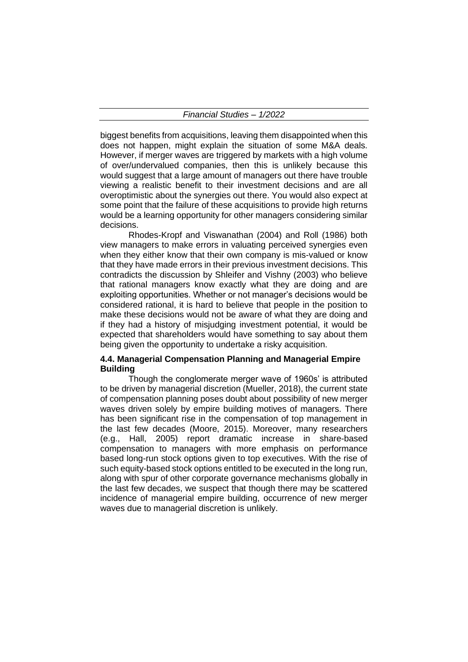biggest benefits from acquisitions, leaving them disappointed when this does not happen, might explain the situation of some M&A deals. However, if merger waves are triggered by markets with a high volume of over/undervalued companies, then this is unlikely because this would suggest that a large amount of managers out there have trouble viewing a realistic benefit to their investment decisions and are all overoptimistic about the synergies out there. You would also expect at some point that the failure of these acquisitions to provide high returns would be a learning opportunity for other managers considering similar decisions.

Rhodes-Kropf and Viswanathan (2004) and Roll (1986) both view managers to make errors in valuating perceived synergies even when they either know that their own company is mis-valued or know that they have made errors in their previous investment decisions. This contradicts the discussion by Shleifer and Vishny (2003) who believe that rational managers know exactly what they are doing and are exploiting opportunities. Whether or not manager's decisions would be considered rational, it is hard to believe that people in the position to make these decisions would not be aware of what they are doing and if they had a history of misjudging investment potential, it would be expected that shareholders would have something to say about them being given the opportunity to undertake a risky acquisition.

## **4.4. Managerial Compensation Planning and Managerial Empire Building**

Though the conglomerate merger wave of 1960s' is attributed to be driven by managerial discretion (Mueller, 2018), the current state of compensation planning poses doubt about possibility of new merger waves driven solely by empire building motives of managers. There has been significant rise in the compensation of top management in the last few decades (Moore, 2015). Moreover, many researchers (e.g., Hall, 2005) report dramatic increase in share-based compensation to managers with more emphasis on performance based long-run stock options given to top executives. With the rise of such equity-based stock options entitled to be executed in the long run, along with spur of other corporate governance mechanisms globally in the last few decades, we suspect that though there may be scattered incidence of managerial empire building, occurrence of new merger waves due to managerial discretion is unlikely.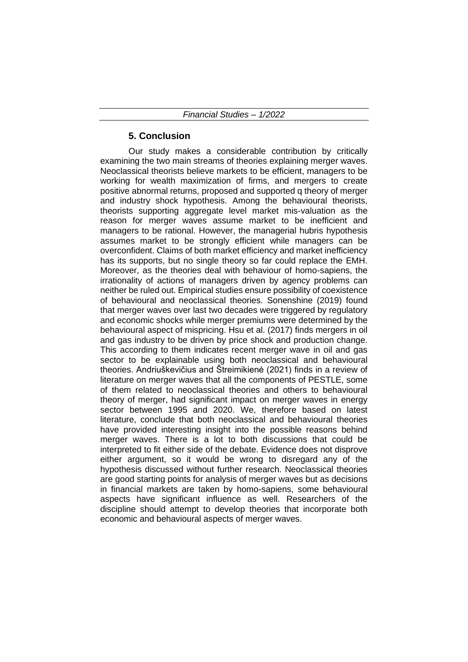# **5. Conclusion**

Our study makes a considerable contribution by critically examining the two main streams of theories explaining merger waves. Neoclassical theorists believe markets to be efficient, managers to be working for wealth maximization of firms, and mergers to create positive abnormal returns, proposed and supported q theory of merger and industry shock hypothesis. Among the behavioural theorists, theorists supporting aggregate level market mis-valuation as the reason for merger waves assume market to be inefficient and managers to be rational. However, the managerial hubris hypothesis assumes market to be strongly efficient while managers can be overconfident. Claims of both market efficiency and market inefficiency has its supports, but no single theory so far could replace the EMH. Moreover, as the theories deal with behaviour of homo-sapiens, the irrationality of actions of managers driven by agency problems can neither be ruled out. Empirical studies ensure possibility of coexistence of behavioural and neoclassical theories. Sonenshine (2019) found that merger waves over last two decades were triggered by regulatory and economic shocks while merger premiums were determined by the behavioural aspect of mispricing. Hsu et al. (2017) finds mergers in oil and gas industry to be driven by price shock and production change. This according to them indicates recent merger wave in oil and gas sector to be explainable using both neoclassical and behavioural theories. Andriuškevičius and Štreimikienė (2021) finds in a review of literature on merger waves that all the components of PESTLE, some of them related to neoclassical theories and others to behavioural theory of merger, had significant impact on merger waves in energy sector between 1995 and 2020. We, therefore based on latest literature, conclude that both neoclassical and behavioural theories have provided interesting insight into the possible reasons behind merger waves. There is a lot to both discussions that could be interpreted to fit either side of the debate. Evidence does not disprove either argument, so it would be wrong to disregard any of the hypothesis discussed without further research. Neoclassical theories are good starting points for analysis of merger waves but as decisions in financial markets are taken by homo-sapiens, some behavioural aspects have significant influence as well. Researchers of the discipline should attempt to develop theories that incorporate both economic and behavioural aspects of merger waves.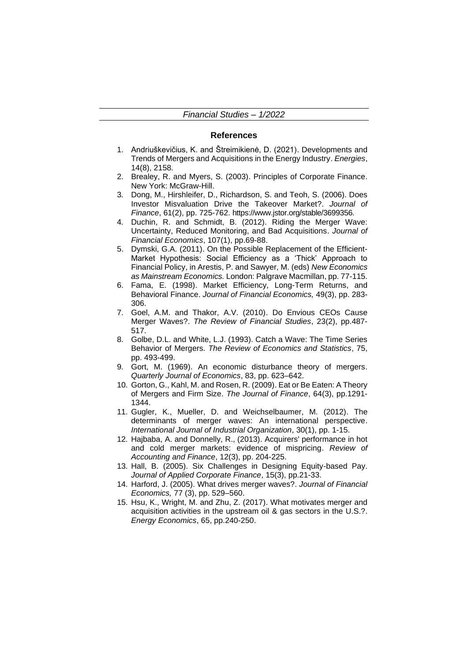#### **References**

- 1. Andriuškevičius, K. and Štreimikienė, D. (2021). Developments and Trends of Mergers and Acquisitions in the Energy Industry. *Energies*, 14(8), 2158.
- 2. Brealey, R. and Myers, S. (2003). Principles of Corporate Finance. New York: McGraw-Hill.
- 3. Dong, M., Hirshleifer, D., Richardson, S. and Teoh, S. (2006). Does Investor Misvaluation Drive the Takeover Market?. *Journal of Finance*, 61(2), pp. 725-762. https://www.jstor.org/stable/3699356.
- 4. Duchin, R. and Schmidt, B. (2012). Riding the Merger Wave: Uncertainty, Reduced Monitoring, and Bad Acquisitions. *Journal of Financial Economics*, 107(1), pp.69-88.
- 5. Dymski, G.A. (2011). On the Possible Replacement of the Efficient-Market Hypothesis: Social Efficiency as a 'Thick' Approach to Financial Policy, in Arestis, P. and Sawyer, M. (eds) *New Economics as Mainstream Economics.* London: Palgrave Macmillan, pp. 77-115.
- 6. Fama, E. (1998). Market Efficiency, Long-Term Returns, and Behavioral Finance. *Journal of Financial Economics,* 49(3), pp. 283- 306.
- 7. Goel, A.M. and Thakor, A.V. (2010). Do Envious CEOs Cause Merger Waves?. *The Review of Financial Studies*, 23(2), pp.487- 517.
- 8. Golbe, D.L. and White, L.J. (1993). Catch a Wave: The Time Series Behavior of Mergers. *The Review of Economics and Statistics*, 75, pp. 493-499.
- 9. Gort, M. (1969). An economic disturbance theory of mergers. *Quarterly Journal of Economics*, 83, pp. 623–642.
- 10. Gorton, G., Kahl, M. and Rosen, R. (2009). Eat or Be Eaten: A Theory of Mergers and Firm Size. *The Journal of Finance*, 64(3), pp.1291- 1344.
- 11. Gugler, K., Mueller, D. and Weichselbaumer, M. (2012). The determinants of merger waves: An international perspective. *International Journal of Industrial Organization*, 30(1), pp. 1-15.
- 12. Hajbaba, A. and Donnelly, R., (2013). Acquirers' performance in hot and cold merger markets: evidence of mispricing. *Review of Accounting and Finance*, 12(3), pp. 204-225.
- 13. Hall, B. (2005). Six Challenges in Designing Equity-based Pay. *Journal of Applied Corporate Finance*, 15(3), pp.21-33.
- 14. Harford, J. (2005). What drives merger waves?. *Journal of Financial Economics,* 77 (3), pp. 529–560.
- 15. Hsu, K., Wright, M. and Zhu, Z. (2017). What motivates merger and acquisition activities in the upstream oil & gas sectors in the U.S.?. *Energy Economics*, 65, pp.240-250.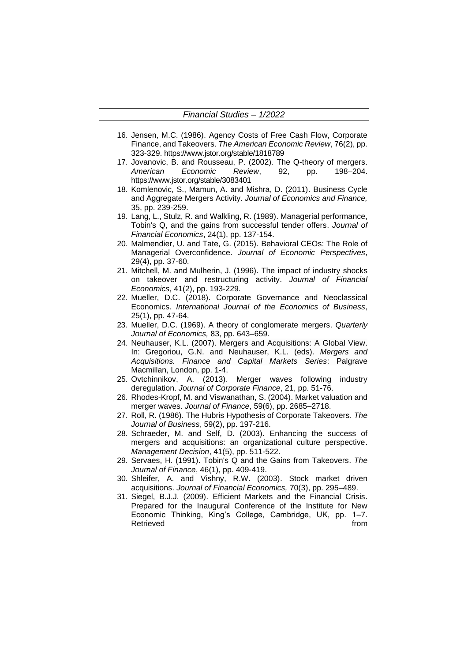- 16. Jensen, M.C. (1986). Agency Costs of Free Cash Flow, Corporate Finance, and Takeovers. *The American Economic Review*, 76(2), pp. 323-329. https://www.jstor.org/stable/1818789
- 17. Jovanovic, B. and Rousseau, P. (2002). The Q-theory of mergers. *American Economic Review*, 92, pp. 198–204. https://www.jstor.org/stable/3083401
- 18. Komlenovic, S., Mamun, A. and Mishra, D. (2011). Business Cycle and Aggregate Mergers Activity. *Journal of Economics and Finance,* 35, pp. 239-259.
- 19. Lang, L., Stulz, R. and Walkling, R. (1989). Managerial performance, Tobin's Q, and the gains from successful tender offers. *Journal of Financial Economics*, 24(1), pp. 137-154.
- 20. Malmendier, U. and Tate, G. (2015). Behavioral CEOs: The Role of Managerial Overconfidence. *Journal of Economic Perspectives*, 29(4), pp. 37-60.
- 21. Mitchell, M. and Mulherin, J. (1996). The impact of industry shocks on takeover and restructuring activity. *Journal of Financial Economics*, 41(2), pp. 193-229.
- 22. Mueller, D.C. (2018). Corporate Governance and Neoclassical Economics. *International Journal of the Economics of Business*, 25(1), pp. 47-64.
- 23. Mueller, D.C. (1969). A theory of conglomerate mergers. *Quarterly Journal of Economics,* 83, pp. 643–659.
- 24. Neuhauser, K.L. (2007). Mergers and Acquisitions: A Global View. In: Gregoriou, G.N. and Neuhauser, K.L. (eds). *Mergers and Acquisitions. Finance and Capital Markets Series*: Palgrave Macmillan, London, pp. 1-4.
- 25. Ovtchinnikov, A. (2013). Merger waves following industry deregulation. *Journal of Corporate Finance*, 21, pp. 51-76.
- 26. Rhodes-Kropf, M. and Viswanathan, S. (2004). Market valuation and merger waves. *Journal of Finance*, 59(6), pp. 2685–2718.
- 27. Roll, R. (1986). The Hubris Hypothesis of Corporate Takeovers. *The Journal of Business*, 59(2), pp. 197-216.
- 28. Schraeder, M. and Self, D. (2003). Enhancing the success of mergers and acquisitions: an organizational culture perspective. *Management Decision*, 41(5), pp. 511-522.
- 29. Servaes, H. (1991). Tobin's Q and the Gains from Takeovers. *The Journal of Finance*, 46(1), pp. 409-419.
- 30. Shleifer, A. and Vishny, R.W. (2003). Stock market driven acquisitions. *Journal of Financial Economics,* 70(3), pp. 295–489.
- 31. Siegel, B.J.J. (2009). Efficient Markets and the Financial Crisis. Prepared for the Inaugural Conference of the Institute for New Economic Thinking, King's College, Cambridge, UK, pp. 1–7. Retrieved from the set of the set of the set of the set of the set of the set of the set of the set of the set of the set of the set of the set of the set of the set of the set of the set of the set of the set of the set o